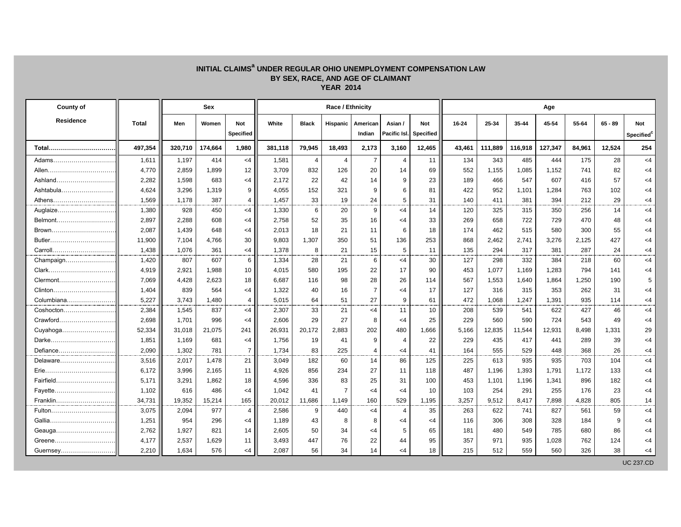## **INITIAL CLAIMS<sup>a</sup> UNDER REGULAR OHIO UNEMPLOYMENT COMPENSATION LAW BY SEX, RACE, AND AGE OF CLAIMANT YEAR 2014**

| County of  |         | <b>Sex</b> |         |                  |         | Age          |                |                |                |                  |        |         |         |         |        |           |            |
|------------|---------|------------|---------|------------------|---------|--------------|----------------|----------------|----------------|------------------|--------|---------|---------|---------|--------|-----------|------------|
| Residence  | Total   | Men        | Women   | <b>Not</b>       | White   | <b>Black</b> | Hispanic       | American       | Asian /        | <b>Not</b>       | 16-24  | 25-34   | 35-44   | 45-54   | 55-64  | $65 - 89$ | <b>Not</b> |
|            |         |            |         | <b>Specified</b> |         |              |                | Indian         | Pacific Isl.   | <b>Specified</b> |        |         |         |         |        |           | Specified  |
| Total      | 497,354 | 320,710    | 174,664 | 1,980            | 381,118 | 79,945       | 18,493         | 2,173          | 3,160          | 12,465           | 43,461 | 111,889 | 116,918 | 127,347 | 84,961 | 12,524    | 254        |
| Adams      | 1,611   | 1,197      | 414     | $<$ 4            | 1,581   | 4            | $\overline{4}$ | $\overline{7}$ | $\overline{4}$ | 11               | 134    | 343     | 485     | 444     | 175    | 28        | $\leq 4$   |
| Allen      | 4,770   | 2,859      | 1,899   | 12               | 3,709   | 832          | 126            | 20             | 14             | 69               | 552    | 1,155   | 1,085   | 1,152   | 741    | 82        | $<$ 4      |
| Ashland    | 2,282   | 1,598      | 683     | $<$ 4            | 2,172   | 22           | 42             | 14             | 9              | 23               | 189    | 466     | 547     | 607     | 416    | 57        | $<$ 4      |
| Ashtabula  | 4,624   | 3,296      | 1,319   | 9                | 4,055   | 152          | 321            | 9              | 6              | 81               | 422    | 952     | 1,101   | 1,284   | 763    | 102       | $<$ 4      |
| Athens     | 1,569   | 1,178      | 387     | $\overline{4}$   | 1,457   | 33           | 19             | 24             | 5              | 31               | 140    | 411     | 381     | 394     | 212    | 29        | $\leq 4$   |
| Auglaize   | 1,380   | 928        | 450     | $<$ 4            | 1,330   | 6            | 20             | 9              | $<$ 4          | 14               | 120    | 325     | 315     | 350     | 256    | 14        | $<$ 4      |
| Belmont    | 2,897   | 2,288      | 608     | $<$ 4            | 2,758   | 52           | 35             | 16             | $<$ 4          | 33               | 269    | 658     | 722     | 729     | 470    | 48        | $<$ 4      |
| Brown      | 2,087   | 1,439      | 648     | $<$ 4            | 2,013   | 18           | 21             | 11             | 6              | 18               | 174    | 462     | 515     | 580     | 300    | 55        | $\leq 4$   |
| Butler     | 11,900  | 7,104      | 4,766   | 30               | 9,803   | 1,307        | 350            | 51             | 136            | 253              | 868    | 2,462   | 2,741   | 3,276   | 2,125  | 427       | $<$ 4      |
| Carroll    | 1,438   | 1.076      | 361     | $<$ 4            | 1,378   | 8            | 21             | 15             | 5              | 11               | 135    | 294     | 317     | 381     | 287    | 24        | $<$ 4      |
| Champaign  | 1,420   | 807        | 607     | 6                | 1,334   | 28           | 21             | 6              | $<$ 4          | 30               | 127    | 298     | 332     | 384     | 218    | 60        | $<$ 4      |
|            | 4,919   | 2,921      | 1,988   | 10               | 4,015   | 580          | 195            | 22             | 17             | 90               | 453    | 1,077   | 1,169   | 1,283   | 794    | 141       | $<$ 4      |
| Clermont   | 7,069   | 4,428      | 2,623   | 18               | 6,687   | 116          | 98             | 28             | 26             | 114              | 567    | 1,553   | 1,640   | 1,864   | 1,250  | 190       | 5          |
| Clinton    | 1,404   | 839        | 564     | $<$ 4            | 1,322   | 40           | 16             | $\overline{7}$ | $<$ 4          | 17               | 127    | 316     | 315     | 353     | 262    | 31        | $<$ 4      |
| Columbiana | 5,227   | 3,743      | 1,480   | $\overline{4}$   | 5,015   | 64           | 51             | 27             | 9              | 61               | 472    | 1,068   | 1,247   | 1,391   | 935    | 114       | $<$ 4      |
| Coshocton  | 2,384   | 1,545      | 837     | $<$ 4            | 2,307   | 33           | 21             | $<$ 4          | 11             | 10               | 208    | 539     | 541     | 622     | 427    | 46        | $<$ 4      |
| Crawford   | 2,698   | 1,701      | 996     | $\leq$ 4         | 2,606   | 29           | 27             | 8              | $<$ 4          | 25               | 229    | 560     | 590     | 724     | 543    | 49        | $<$ 4      |
| Cuyahoga   | 52,334  | 31,018     | 21,075  | 241              | 26,931  | 20,172       | 2,883          | 202            | 480            | 1,666            | 5,166  | 12,835  | 11,544  | 12,931  | 8,498  | 1,331     | 29         |
| Darke      | 1,851   | 1,169      | 681     | $<$ 4            | 1,756   | 19           | 41             | 9              | $\overline{4}$ | 22               | 229    | 435     | 417     | 441     | 289    | 39        | $<$ 4      |
| Defiance   | 2,090   | 1.302      | 781     | $\overline{7}$   | 1.734   | 83           | 225            | $\overline{4}$ | $<$ 4          | 41               | 164    | 555     | 529     | 448     | 368    | 26        | $<$ 4      |
| Delaware   | 3,516   | 2,017      | 1,478   | 21               | 3,049   | 182          | 60             | 14             | 86             | 125              | 225    | 613     | 935     | 935     | 703    | 104       | $<$ 4      |
| Erie       | 6,172   | 3,996      | 2,165   | 11               | 4,926   | 856          | 234            | 27             | 11             | 118              | 487    | 1,196   | 1,393   | 1,791   | 1,172  | 133       | $<$ 4      |
| Fairfield  | 5,171   | 3,291      | 1,862   | 18               | 4,596   | 336          | 83             | 25             | 31             | 100              | 453    | 1,101   | 1,196   | 1,341   | 896    | 182       | $<$ 4      |
| Fayette    | 1,102   | 616        | 486     | $<$ 4            | 1,042   | 41           |                | <4             | $\leq$ 4       | 10               | 103    | 254     | 291     | 255     | 176    | 23        | $<$ 4      |
| Franklin   | 34,731  | 19,352     | 15,214  | 165              | 20,012  | 11,686       | 1,149          | 160            | 529            | 1,195            | 3,257  | 9,512   | 8,417   | 7,898   | 4,828  | 805       | 14         |
| Fulton     | 3,075   | 2,094      | 977     | 4                | 2,586   | 9            | 440            | $<$ 4          | $\overline{4}$ | 35               | 263    | 622     | 741     | 827     | 561    | 59        | $<$ 4      |
| Gallia     | 1,251   | 954        | 296     | $<$ 4            | 1,189   | 43           | 8              | 8              | $\leq$ 4       | $<$ 4            | 116    | 306     | 308     | 328     | 184    | 9         | $\leq 4$   |
| Geauga     | 2,762   | 1,927      | 821     | 14               | 2,605   | 50           | 34             | $\leq$ 4       | 5              | 65               | 181    | 480     | 549     | 785     | 680    | 86        | $<$ 4      |
| Greene     | 4,177   | 2,537      | 1,629   | 11               | 3,493   | 447          | 76             | 22             | 44             | 95               | 357    | 971     | 935     | 1,028   | 762    | 124       | $<$ 4      |
| Guernsey   | 2.210   | 1.634      | 576     | $<$ 4            | 2.087   | 56           | 34             | 14             | $<$ 4          | 18               | 215    | 512     | 559     | 560     | 326    | 38        | $<$ 4      |

UC 237.CD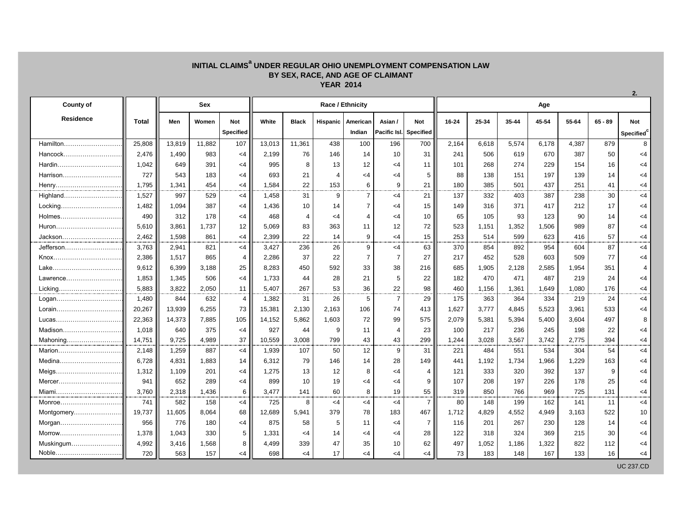## **INITIAL CLAIMS<sup>a</sup> UNDER REGULAR OHIO UNEMPLOYMENT COMPENSATION LAW BY SEX, RACE, AND AGE OF CLAIMANT YEAR 2014**

| <b>County of</b> |        | <b>Sex</b> |        |                         | Race / Ethnicity |                 |                |                    |                         |                                |       | Age   |       |       |       |           |                         |  |  |  |
|------------------|--------|------------|--------|-------------------------|------------------|-----------------|----------------|--------------------|-------------------------|--------------------------------|-------|-------|-------|-------|-------|-----------|-------------------------|--|--|--|
| <b>Residence</b> | Total  | Men        | Women  | Not<br><b>Specified</b> | White            | <b>Black</b>    | Hispanic       | American<br>Indian | Asian /<br>Pacific Isl. | <b>Not</b><br><b>Specified</b> | 16-24 | 25-34 | 35-44 | 45-54 | 55-64 | $65 - 89$ | <b>Not</b><br>Specified |  |  |  |
| Hamilton         | 25,808 | 13,819     | 11.882 | 107                     | 13,013           | 11,361          | 438            | 100                | 196                     | 700                            | 2,164 | 6,618 | 5,574 | 6,178 | 4,387 | 879       | 8                       |  |  |  |
| Hancock          | 2.476  | 1.490      | 983    | $<$ 4                   | 2,199            | 76              | 146            | 14                 | 10                      | 31                             | 241   | 506   | 619   | 670   | 387   | 50        | $<$ 4                   |  |  |  |
| Hardin           | 1,042  | 649        | 391    | $<$ 4                   | 995              | 8               | 13             | 12                 | $<$ 4                   | 11                             | 101   | 268   | 274   | 229   | 154   | 16        | $<$ 4                   |  |  |  |
| Harrison         | 727    | 543        | 183    | <4                      | 693              | 21              | $\overline{4}$ | $<$ 4              | $<$ 4                   | 5                              | 88    | 138   | 151   | 197   | 139   | 14        | $<$ 4                   |  |  |  |
| Henry            | 1,795  | 1,341      | 454    | $<$ 4                   | 1,584            | 22              | 153            | 6                  | 9                       | 21                             | 180   | 385   | 501   | 437   | 251   | 41        | <4                      |  |  |  |
| Highland         | 1,527  | 997        | 529    | <4                      | 1,458            | 31              | 9              | $\overline{7}$     | $<$ 4                   | 21                             | 137   | 332   | 403   | 387   | 238   | 30        | $<$ 4                   |  |  |  |
| Locking          | 1,482  | 1.094      | 387    | <4                      | 1,436            | 10              | 14             | $\overline{7}$     | $<$ 4                   | 15                             | 149   | 316   | 371   | 417   | 212   | 17        | $<$ 4                   |  |  |  |
| Holmes           | 490    | 312        | 178    | <4                      | 468              | 4               | <4             | 4                  | $<$ 4                   | 10                             | 65    | 105   | 93    | 123   | 90    | 14        | $<$ 4                   |  |  |  |
| Huron            | 5,610  | 3,861      | 1,737  | 12                      | 5,069            | 83              | 363            | 11                 | 12                      | 72                             | 523   | 1,151 | 1,352 | 1,506 | 989   | 87        | $<$ 4                   |  |  |  |
| Jackson          | 2,462  | 1,598      | 861    | <4                      | 2,399            | 22              | 14             | 9                  | $<$ 4                   | 15                             | 253   | 514   | 599   | 623   | 416   | 57        | $<$ 4                   |  |  |  |
| Jefferson        | 3,763  | 2,941      | 821    | <4                      | 3,427            | 236             | 26             | 9                  | $<$ 4                   | 63                             | 370   | 854   | 892   | 954   | 604   | 87        | $<$ 4                   |  |  |  |
| Knox             | 2,386  | 1.517      | 865    | 4                       | 2,286            | 37              | 22             | $\overline{7}$     | $\overline{7}$          | 27                             | 217   | 452   | 528   | 603   | 509   | 77        | $<$ 4                   |  |  |  |
| Lake             | 9,612  | 6,399      | 3,188  | 25                      | 8,283            | 450             | 592            | 33                 | 38                      | 216                            | 685   | 1,905 | 2,128 | 2,585 | 1,954 | 351       | 4                       |  |  |  |
|                  | 1.853  | 1.345      | 506    | $<$ 4                   | 1.733            | 44              | 28             | 21                 | 5                       | 22                             | 182   | 470   | 471   | 487   | 219   | 24        | $<$ 4                   |  |  |  |
| Licking          | 5,883  | 3,822      | 2,050  | 11                      | 5,407            | 267             | 53             | 36                 | 22                      | 98                             | 460   | 1,156 | 1,361 | 1,649 | 1,080 | 176       | <4                      |  |  |  |
| Logan            | 1,480  | 844        | 632    | $\overline{4}$          | 1,382            | 31              | 26             | $\sqrt{5}$         | $\overline{7}$          | 29                             | 175   | 363   | 364   | 334   | 219   | 24        | $<$ 4                   |  |  |  |
| Lorain           | 20,267 | 13,939     | 6,255  | 73                      | 15,381           | 2,130           | 2,163          | 106                | 74                      | 413                            | 1,627 | 3,777 | 4,845 | 5,523 | 3,961 | 533       | $<$ 4                   |  |  |  |
| Lucas            | 22,363 | 14,373     | 7,885  | 105                     | 14,152           | 5,862           | 1,603          | 72                 | 99                      | 575                            | 2,079 | 5,381 | 5,394 | 5,400 | 3,604 | 497       | 8                       |  |  |  |
| Madison          | 1,018  | 640        | 375    | $<$ 4                   | 927              | 44              | 9              | 11                 | $\overline{4}$          | 23                             | 100   | 217   | 236   | 245   | 198   | 22        | $<$ 4                   |  |  |  |
| Mahoning         | 14,751 | 9,725      | 4,989  | 37                      | 10,559           | 3,008           | 799            | 43                 | 43                      | 299                            | 1,244 | 3,028 | 3,567 | 3,742 | 2,775 | 394       | <4                      |  |  |  |
| Marion           | 2,148  | 1,259      | 887    | <4                      | 1,939            | 107             | 50             | 12                 | 9                       | 31                             | 221   | 484   | 551   | 534   | 304   | 54        | $<$ 4                   |  |  |  |
| Medina           | 6,728  | 4,831      | 1,883  | 14                      | 6,312            | 79              | 146            | 14                 | 28                      | 149                            | 441   | 1,192 | 1,734 | 1,966 | 1,229 | 163       | $<$ 4                   |  |  |  |
| Meigs            | 1,312  | 1,109      | 201    | <4                      | 1,275            | 13              | 12             | 8                  | $<$ 4                   | 4                              | 121   | 333   | 320   | 392   | 137   | 9         | $<$ 4                   |  |  |  |
| Mercer           | 941    | 652        | 289    | <4                      | 899              | 10 <sup>1</sup> | 19             | $\leq 4$           | $<$ 4                   | 9                              | 107   | 208   | 197   | 226   | 178   | 25        | $<$ 4                   |  |  |  |
| Miami            | 3,760  | 2,318      | 1,436  | 6                       | 3,477            | 141             | 60             | 8                  | 19                      | 55                             | 319   | 850   | 766   | 969   | 725   | 131       | $<$ 4                   |  |  |  |
| Monroe           | 741    | 582        | 158    | $<$ 4                   | 725              | 8               | $\leq 4$       | $<$ 4              | $<$ 4                   | $\overline{7}$                 | 80    | 148   | 199   | 162   | 141   | 11        | $<$ 4                   |  |  |  |
| Montgomery       | 19,737 | 11,605     | 8,064  | 68                      | 12,689           | 5,941           | 379            | 78                 | 183                     | 467                            | 1,712 | 4,829 | 4,552 | 4,949 | 3,163 | 522       | 10                      |  |  |  |
| Morgan           | 956    | 776        | 180    | <4                      | 875              | 58              | 5              | 11                 | $<$ 4                   | $\overline{7}$                 | 116   | 201   | 267   | 230   | 128   | 14        | $<$ 4                   |  |  |  |
| Morrow           | 1,378  | 1.043      | 330    | 5                       | 1,331            | $<$ 4           | 14             | $\leq 4$           | $<$ 4                   | 28                             | 122   | 318   | 324   | 369   | 215   | 30        | <4                      |  |  |  |
| Muskingum        | 4,992  | 3,416      | 1,568  | 8                       | 4,499            | 339             | 47             | 35                 | 10                      | 62                             | 497   | 1,052 | 1,186 | 1,322 | 822   | 112       | $<$ 4                   |  |  |  |
| Noble            | 720    | 563        | 157    | <4                      | 698              | $<$ 4           | 17             | $\leq 4$           | $<$ 4                   | <4                             | 73    | 183   | 148   | 167   | 133   | 16        | $<$ 4                   |  |  |  |
|                  |        |            |        |                         |                  |                 |                |                    |                         |                                |       |       |       |       |       |           | <b>UC 237.CD</b>        |  |  |  |

**2.**